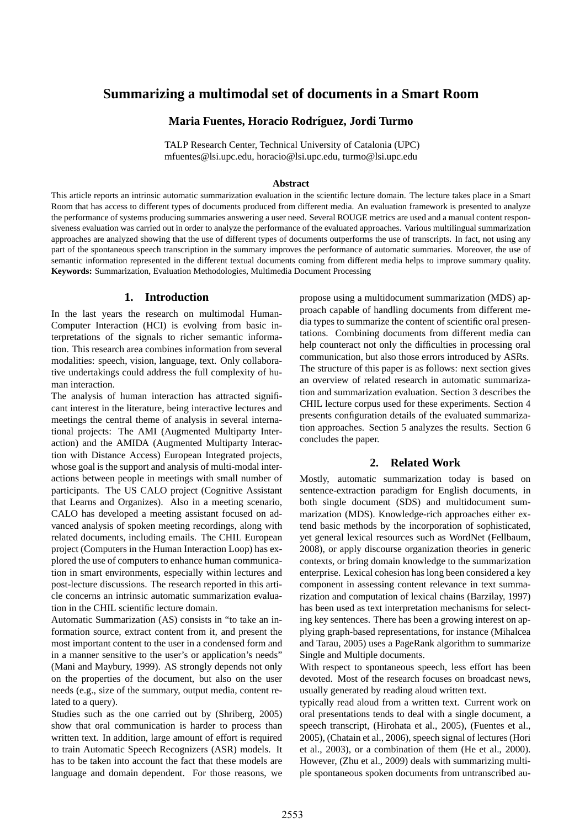# **Summarizing a multimodal set of documents in a Smart Room**

## **Maria Fuentes, Horacio Rodr´ıguez, Jordi Turmo**

TALP Research Center, Technical University of Catalonia (UPC) mfuentes@lsi.upc.edu, horacio@lsi.upc.edu, turmo@lsi.upc.edu

#### **Abstract**

This article reports an intrinsic automatic summarization evaluation in the scientific lecture domain. The lecture takes place in a Smart Room that has access to different types of documents produced from different media. An evaluation framework is presented to analyze the performance of systems producing summaries answering a user need. Several ROUGE metrics are used and a manual content responsiveness evaluation was carried out in order to analyze the performance of the evaluated approaches. Various multilingual summarization approaches are analyzed showing that the use of different types of documents outperforms the use of transcripts. In fact, not using any part of the spontaneous speech transcription in the summary improves the performance of automatic summaries. Moreover, the use of semantic information represented in the different textual documents coming from different media helps to improve summary quality. **Keywords:** Summarization, Evaluation Methodologies, Multimedia Document Processing

# **1. Introduction**

In the last years the research on multimodal Human-Computer Interaction (HCI) is evolving from basic interpretations of the signals to richer semantic information. This research area combines information from several modalities: speech, vision, language, text. Only collaborative undertakings could address the full complexity of human interaction.

The analysis of human interaction has attracted significant interest in the literature, being interactive lectures and meetings the central theme of analysis in several international projects: The AMI (Augmented Multiparty Interaction) and the AMIDA (Augmented Multiparty Interaction with Distance Access) European Integrated projects, whose goal is the support and analysis of multi-modal interactions between people in meetings with small number of participants. The US CALO project (Cognitive Assistant that Learns and Organizes). Also in a meeting scenario, CALO has developed a meeting assistant focused on advanced analysis of spoken meeting recordings, along with related documents, including emails. The CHIL European project (Computers in the Human Interaction Loop) has explored the use of computers to enhance human communication in smart environments, especially within lectures and post-lecture discussions. The research reported in this article concerns an intrinsic automatic summarization evaluation in the CHIL scientific lecture domain.

Automatic Summarization (AS) consists in "to take an information source, extract content from it, and present the most important content to the user in a condensed form and in a manner sensitive to the user's or application's needs" (Mani and Maybury, 1999). AS strongly depends not only on the properties of the document, but also on the user needs (e.g., size of the summary, output media, content related to a query).

Studies such as the one carried out by (Shriberg, 2005) show that oral communication is harder to process than written text. In addition, large amount of effort is required to train Automatic Speech Recognizers (ASR) models. It has to be taken into account the fact that these models are language and domain dependent. For those reasons, we

propose using a multidocument summarization (MDS) approach capable of handling documents from different media types to summarize the content of scientific oral presentations. Combining documents from different media can help counteract not only the difficulties in processing oral communication, but also those errors introduced by ASRs. The structure of this paper is as follows: next section gives an overview of related research in automatic summarization and summarization evaluation. Section 3 describes the CHIL lecture corpus used for these experiments. Section 4 presents configuration details of the evaluated summarization approaches. Section 5 analyzes the results. Section 6 concludes the paper.

#### **2. Related Work**

Mostly, automatic summarization today is based on sentence-extraction paradigm for English documents, in both single document (SDS) and multidocument summarization (MDS). Knowledge-rich approaches either extend basic methods by the incorporation of sophisticated, yet general lexical resources such as WordNet (Fellbaum, 2008), or apply discourse organization theories in generic contexts, or bring domain knowledge to the summarization enterprise. Lexical cohesion has long been considered a key component in assessing content relevance in text summarization and computation of lexical chains (Barzilay, 1997) has been used as text interpretation mechanisms for selecting key sentences. There has been a growing interest on applying graph-based representations, for instance (Mihalcea and Tarau, 2005) uses a PageRank algorithm to summarize Single and Multiple documents.

With respect to spontaneous speech, less effort has been devoted. Most of the research focuses on broadcast news, usually generated by reading aloud written text.

typically read aloud from a written text. Current work on oral presentations tends to deal with a single document, a speech transcript, (Hirohata et al., 2005), (Fuentes et al., 2005), (Chatain et al., 2006), speech signal of lectures (Hori et al., 2003), or a combination of them (He et al., 2000). However, (Zhu et al., 2009) deals with summarizing multiple spontaneous spoken documents from untranscribed au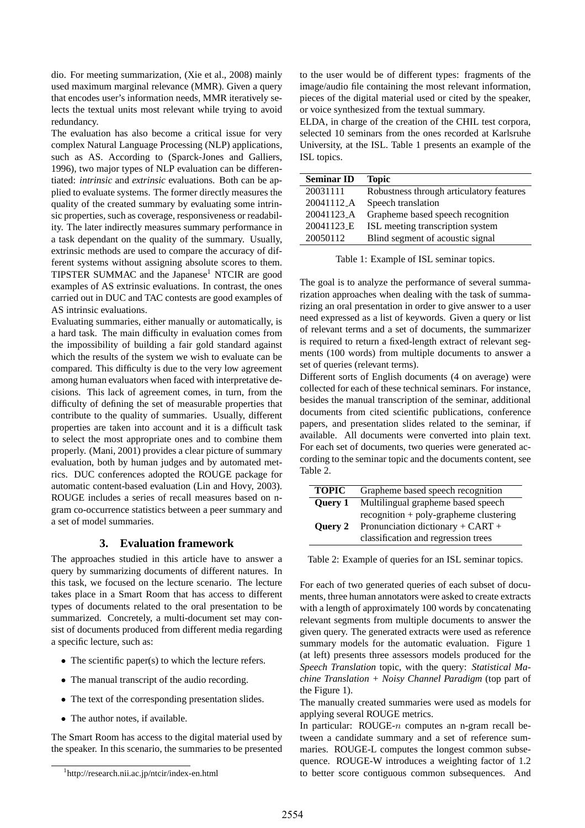dio. For meeting summarization, (Xie et al., 2008) mainly used maximum marginal relevance (MMR). Given a query that encodes user's information needs, MMR iteratively selects the textual units most relevant while trying to avoid redundancy.

The evaluation has also become a critical issue for very complex Natural Language Processing (NLP) applications, such as AS. According to (Sparck-Jones and Galliers, 1996), two major types of NLP evaluation can be differentiated: *intrinsic* and *extrinsic* evaluations. Both can be applied to evaluate systems. The former directly measures the quality of the created summary by evaluating some intrinsic properties, such as coverage, responsiveness or readability. The later indirectly measures summary performance in a task dependant on the quality of the summary. Usually, extrinsic methods are used to compare the accuracy of different systems without assigning absolute scores to them. TIPSTER SUMMAC and the Japanese<sup>1</sup> NTCIR are good examples of AS extrinsic evaluations. In contrast, the ones carried out in DUC and TAC contests are good examples of AS intrinsic evaluations.

Evaluating summaries, either manually or automatically, is a hard task. The main difficulty in evaluation comes from the impossibility of building a fair gold standard against which the results of the system we wish to evaluate can be compared. This difficulty is due to the very low agreement among human evaluators when faced with interpretative decisions. This lack of agreement comes, in turn, from the difficulty of defining the set of measurable properties that contribute to the quality of summaries. Usually, different properties are taken into account and it is a difficult task to select the most appropriate ones and to combine them properly. (Mani, 2001) provides a clear picture of summary evaluation, both by human judges and by automated metrics. DUC conferences adopted the ROUGE package for automatic content-based evaluation (Lin and Hovy, 2003). ROUGE includes a series of recall measures based on ngram co-occurrence statistics between a peer summary and a set of model summaries.

### **3. Evaluation framework**

The approaches studied in this article have to answer a query by summarizing documents of different natures. In this task, we focused on the lecture scenario. The lecture takes place in a Smart Room that has access to different types of documents related to the oral presentation to be summarized. Concretely, a multi-document set may consist of documents produced from different media regarding a specific lecture, such as:

- The scientific paper(s) to which the lecture refers.
- The manual transcript of the audio recording.
- The text of the corresponding presentation slides.
- The author notes, if available.

The Smart Room has access to the digital material used by the speaker. In this scenario, the summaries to be presented to the user would be of different types: fragments of the image/audio file containing the most relevant information, pieces of the digital material used or cited by the speaker, or voice synthesized from the textual summary.

ELDA, in charge of the creation of the CHIL test corpora, selected 10 seminars from the ones recorded at Karlsruhe University, at the ISL. Table 1 presents an example of the ISL topics.

| <b>Seminar ID</b>      | <b>Topic</b>                             |
|------------------------|------------------------------------------|
| 20031111               | Robustness through articulatory features |
| 20041112 <sub>-A</sub> | Speech translation                       |
| 20041123 <sub>-A</sub> | Grapheme based speech recognition        |
| 20041123 <sub>-E</sub> | ISL meeting transcription system         |
| 20050112               | Blind segment of acoustic signal         |

Table 1: Example of ISL seminar topics.

The goal is to analyze the performance of several summarization approaches when dealing with the task of summarizing an oral presentation in order to give answer to a user need expressed as a list of keywords. Given a query or list of relevant terms and a set of documents, the summarizer is required to return a fixed-length extract of relevant segments (100 words) from multiple documents to answer a set of queries (relevant terms).

Different sorts of English documents (4 on average) were collected for each of these technical seminars. For instance, besides the manual transcription of the seminar, additional documents from cited scientific publications, conference papers, and presentation slides related to the seminar, if available. All documents were converted into plain text. For each set of documents, two queries were generated according to the seminar topic and the documents content, see Table 2.

| <b>TOPIC</b>   | Grapheme based speech recognition                                                                                    |
|----------------|----------------------------------------------------------------------------------------------------------------------|
| <b>Query 1</b> | Multilingual grapheme based speech                                                                                   |
| Ouery 2        | $recognition + poly-grapheme clustering$<br>Pronunciation dictionary + CART +<br>classification and regression trees |

Table 2: Example of queries for an ISL seminar topics.

For each of two generated queries of each subset of documents, three human annotators were asked to create extracts with a length of approximately 100 words by concatenating relevant segments from multiple documents to answer the given query. The generated extracts were used as reference summary models for the automatic evaluation. Figure 1 (at left) presents three assessors models produced for the *Speech Translation* topic, with the query: *Statistical Machine Translation + Noisy Channel Paradigm* (top part of the Figure 1).

The manually created summaries were used as models for applying several ROUGE metrics.

In particular:  $ROUGE-n$  computes an n-gram recall between a candidate summary and a set of reference summaries. ROUGE-L computes the longest common subsequence. ROUGE-W introduces a weighting factor of 1.2 to better score contiguous common subsequences. And

<sup>1</sup> http://research.nii.ac.jp/ntcir/index-en.html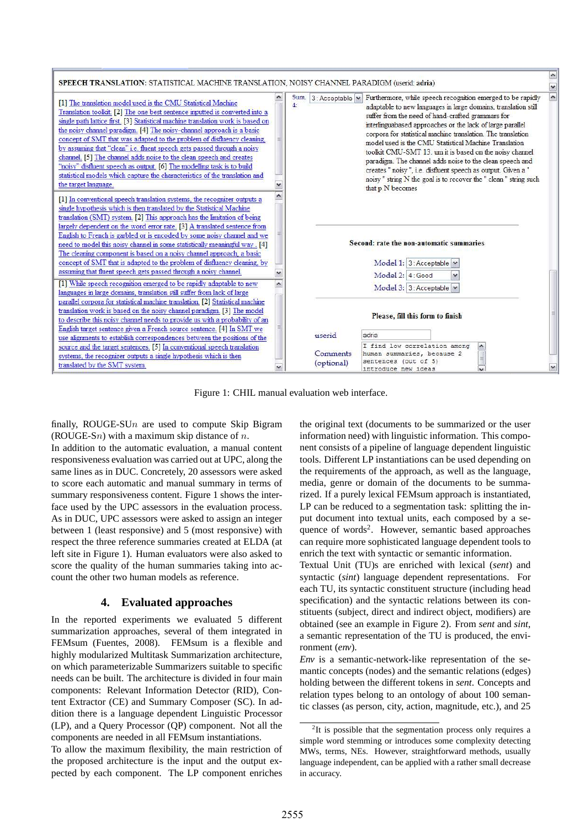

Figure 1: CHIL manual evaluation web interface.

finally, ROUGE-SU $n$  are used to compute Skip Bigram (ROUGE-Sn) with a maximum skip distance of n.

In addition to the automatic evaluation, a manual content responsiveness evaluation was carried out at UPC, along the same lines as in DUC. Concretely, 20 assessors were asked to score each automatic and manual summary in terms of summary responsiveness content. Figure 1 shows the interface used by the UPC assessors in the evaluation process. As in DUC, UPC assessors were asked to assign an integer between 1 (least responsive) and 5 (most responsive) with respect the three reference summaries created at ELDA (at left site in Figure 1). Human evaluators were also asked to score the quality of the human summaries taking into account the other two human models as reference.

# **4. Evaluated approaches**

In the reported experiments we evaluated 5 different summarization approaches, several of them integrated in FEMsum (Fuentes, 2008). FEMsum is a flexible and highly modularized Multitask Summarization architecture, on which parameterizable Summarizers suitable to specific needs can be built. The architecture is divided in four main components: Relevant Information Detector (RID), Content Extractor (CE) and Summary Composer (SC). In addition there is a language dependent Linguistic Processor (LP), and a Query Processor (QP) component. Not all the components are needed in all FEMsum instantiations.

To allow the maximum flexibility, the main restriction of the proposed architecture is the input and the output expected by each component. The LP component enriches

the original text (documents to be summarized or the user information need) with linguistic information. This component consists of a pipeline of language dependent linguistic tools. Different LP instantiations can be used depending on the requirements of the approach, as well as the language, media, genre or domain of the documents to be summarized. If a purely lexical FEMsum approach is instantiated, LP can be reduced to a segmentation task: splitting the input document into textual units, each composed by a sequence of words<sup>2</sup>. However, semantic based approaches can require more sophisticated language dependent tools to enrich the text with syntactic or semantic information.

Textual Unit (TU)s are enriched with lexical (*sent*) and syntactic (*sint*) language dependent representations. For each TU, its syntactic constituent structure (including head specification) and the syntactic relations between its constituents (subject, direct and indirect object, modifiers) are obtained (see an example in Figure 2). From *sent* and *sint*, a semantic representation of the TU is produced, the environment (*env*).

*Env* is a semantic-network-like representation of the semantic concepts (nodes) and the semantic relations (edges) holding between the different tokens in *sent*. Concepts and relation types belong to an ontology of about 100 semantic classes (as person, city, action, magnitude, etc.), and 25

 $2$ It is possible that the segmentation process only requires a simple word stemming or introduces some complexity detecting MWs, terms, NEs. However, straightforward methods, usually language independent, can be applied with a rather small decrease in accuracy.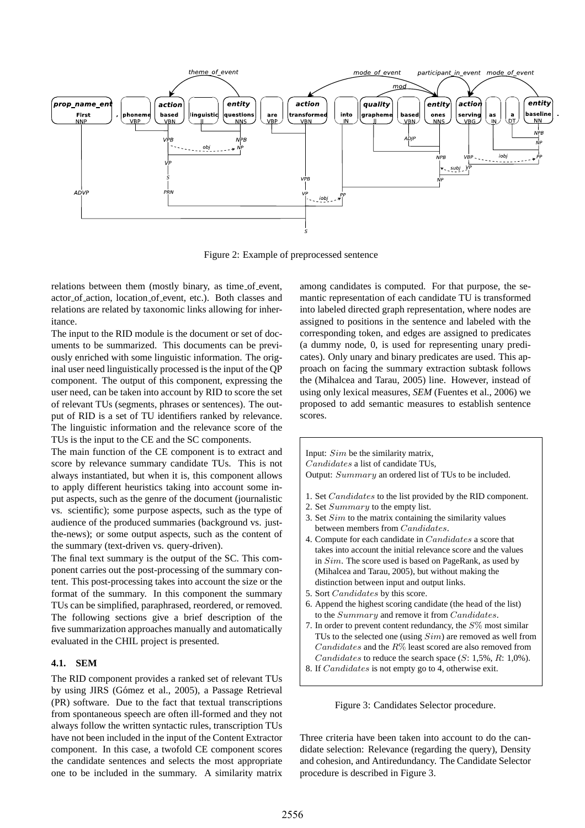

Figure 2: Example of preprocessed sentence

relations between them (mostly binary, as time\_of\_event, actor of action, location of event, etc.). Both classes and relations are related by taxonomic links allowing for inheritance.

The input to the RID module is the document or set of documents to be summarized. This documents can be previously enriched with some linguistic information. The original user need linguistically processed is the input of the QP component. The output of this component, expressing the user need, can be taken into account by RID to score the set of relevant TUs (segments, phrases or sentences). The output of RID is a set of TU identifiers ranked by relevance. The linguistic information and the relevance score of the TUs is the input to the CE and the SC components.

The main function of the CE component is to extract and score by relevance summary candidate TUs. This is not always instantiated, but when it is, this component allows to apply different heuristics taking into account some input aspects, such as the genre of the document (journalistic vs. scientific); some purpose aspects, such as the type of audience of the produced summaries (background vs. justthe-news); or some output aspects, such as the content of the summary (text-driven vs. query-driven).

The final text summary is the output of the SC. This component carries out the post-processing of the summary content. This post-processing takes into account the size or the format of the summary. In this component the summary TUs can be simplified, paraphrased, reordered, or removed. The following sections give a brief description of the five summarization approaches manually and automatically evaluated in the CHIL project is presented.

#### **4.1. SEM**

The RID component provides a ranked set of relevant TUs by using JIRS (Gómez et al., 2005), a Passage Retrieval (PR) software. Due to the fact that textual transcriptions from spontaneous speech are often ill-formed and they not always follow the written syntactic rules, transcription TUs have not been included in the input of the Content Extractor component. In this case, a twofold CE component scores the candidate sentences and selects the most appropriate one to be included in the summary. A similarity matrix

among candidates is computed. For that purpose, the semantic representation of each candidate TU is transformed into labeled directed graph representation, where nodes are assigned to positions in the sentence and labeled with the corresponding token, and edges are assigned to predicates (a dummy node, 0, is used for representing unary predicates). Only unary and binary predicates are used. This approach on facing the summary extraction subtask follows the (Mihalcea and Tarau, 2005) line. However, instead of using only lexical measures, *SEM* (Fuentes et al., 2006) we proposed to add semantic measures to establish sentence scores.

Input: Sim be the similarity matrix, Candidates a list of candidate TUs, Output: Summary an ordered list of TUs to be included.

- 1. Set Candidates to the list provided by the RID component.
- 2. Set Summary to the empty list.
- 3. Set  $Sim$  to the matrix containing the similarity values between members from Candidates.
- 4. Compute for each candidate in Candidates a score that takes into account the initial relevance score and the values in Sim. The score used is based on PageRank, as used by (Mihalcea and Tarau, 2005), but without making the distinction between input and output links.
- 5. Sort Candidates by this score.
- 6. Append the highest scoring candidate (the head of the list) to the Summary and remove it from Candidates.
- 7. In order to prevent content redundancy, the  $S\%$  most similar TUs to the selected one (using  $Sim$ ) are removed as well from  $C and *idades*$  and the  $R\%$  least scored are also removed from *Candidates* to reduce the search space  $(S: 1,5\%, R: 1,0\%).$
- 8. If Candidates is not empty go to 4, otherwise exit.

Figure 3: Candidates Selector procedure.

Three criteria have been taken into account to do the candidate selection: Relevance (regarding the query), Density and cohesion, and Antiredundancy. The Candidate Selector procedure is described in Figure 3.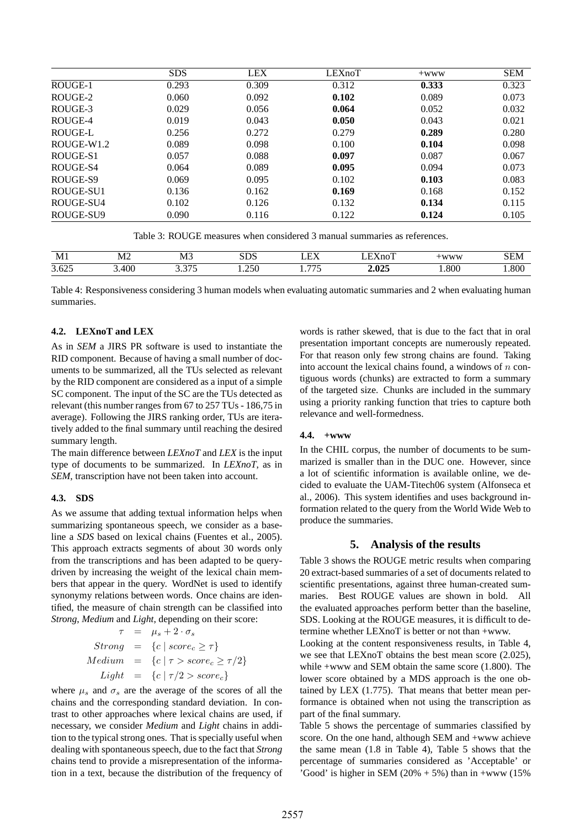|            | <b>SDS</b> | <b>LEX</b> | LEXnoT | $+WWW$ | <b>SEM</b> |
|------------|------------|------------|--------|--------|------------|
| ROUGE-1    | 0.293      | 0.309      | 0.312  | 0.333  | 0.323      |
| ROUGE-2    | 0.060      | 0.092      | 0.102  | 0.089  | 0.073      |
| ROUGE-3    | 0.029      | 0.056      | 0.064  | 0.052  | 0.032      |
| ROUGE-4    | 0.019      | 0.043      | 0.050  | 0.043  | 0.021      |
| ROUGE-L    | 0.256      | 0.272      | 0.279  | 0.289  | 0.280      |
| ROUGE-W1.2 | 0.089      | 0.098      | 0.100  | 0.104  | 0.098      |
| ROUGE-S1   | 0.057      | 0.088      | 0.097  | 0.087  | 0.067      |
| ROUGE-S4   | 0.064      | 0.089      | 0.095  | 0.094  | 0.073      |
| ROUGE-S9   | 0.069      | 0.095      | 0.102  | 0.103  | 0.083      |
| ROUGE-SU1  | 0.136      | 0.162      | 0.169  | 0.168  | 0.152      |
| ROUGE-SU4  | 0.102      | 0.126      | 0.132  | 0.134  | 0.115      |
| ROUGE-SU9  | 0.090      | 0.116      | 0.122  | 0.124  | 0.105      |

Table 3: ROUGE measures when considered 3 manual summaries as references.

| <b>A F</b> 4<br>Мl | M <sub>2</sub> | - -<br>м<br>w.<br>_____ | ്ധ         | $- - -$<br>н | -<br>10             | <b>********</b> | : HN |
|--------------------|----------------|-------------------------|------------|--------------|---------------------|-----------------|------|
| 2.00<br>3.02z      | 400            | $\sim$ $-$<br>، ب       | $-$<br>250 | $- - -$      | $\mathbf{A}$<br>.v. | .800            | .800 |

Table 4: Responsiveness considering 3 human models when evaluating automatic summaries and 2 when evaluating human summaries.

### **4.2. LEXnoT and LEX**

As in *SEM* a JIRS PR software is used to instantiate the RID component. Because of having a small number of documents to be summarized, all the TUs selected as relevant by the RID component are considered as a input of a simple SC component. The input of the SC are the TUs detected as relevant (this number ranges from 67 to 257 TUs - 186,75 in average). Following the JIRS ranking order, TUs are iteratively added to the final summary until reaching the desired summary length.

The main difference between *LEXnoT* and *LEX* is the input type of documents to be summarized. In *LEXnoT*, as in *SEM*, transcription have not been taken into account.

#### **4.3. SDS**

As we assume that adding textual information helps when summarizing spontaneous speech, we consider as a baseline a *SDS* based on lexical chains (Fuentes et al., 2005). This approach extracts segments of about 30 words only from the transcriptions and has been adapted to be querydriven by increasing the weight of the lexical chain members that appear in the query. WordNet is used to identify synonymy relations between words. Once chains are identified, the measure of chain strength can be classified into *Strong*, *Medium* and *Light*, depending on their score:

$$
\tau = \mu_s + 2 \cdot \sigma_s
$$
  
\n
$$
Strong = \{c \mid score_c \ge \tau\}
$$
  
\n
$$
Median = \{c \mid \tau > score_c \ge \tau/2\}
$$
  
\n
$$
Light = \{c \mid \tau/2 > score_c\}
$$

where  $\mu_s$  and  $\sigma_s$  are the average of the scores of all the chains and the corresponding standard deviation. In contrast to other approaches where lexical chains are used, if necessary, we consider *Medium* and *Light* chains in addition to the typical strong ones. That is specially useful when dealing with spontaneous speech, due to the fact that *Strong* chains tend to provide a misrepresentation of the information in a text, because the distribution of the frequency of

words is rather skewed, that is due to the fact that in oral presentation important concepts are numerously repeated. For that reason only few strong chains are found. Taking into account the lexical chains found, a windows of  $n$  contiguous words (chunks) are extracted to form a summary of the targeted size. Chunks are included in the summary using a priority ranking function that tries to capture both relevance and well-formedness.

### **4.4. +www**

In the CHIL corpus, the number of documents to be summarized is smaller than in the DUC one. However, since a lot of scientific information is available online, we decided to evaluate the UAM-Titech06 system (Alfonseca et al., 2006). This system identifies and uses background information related to the query from the World Wide Web to produce the summaries.

### **5. Analysis of the results**

Table 3 shows the ROUGE metric results when comparing 20 extract-based summaries of a set of documents related to scientific presentations, against three human-created summaries. Best ROUGE values are shown in bold. All the evaluated approaches perform better than the baseline, SDS. Looking at the ROUGE measures, it is difficult to determine whether LEXnoT is better or not than +www.

Looking at the content responsiveness results, in Table 4, we see that LEXnoT obtains the best mean score (2.025), while +www and SEM obtain the same score (1.800). The lower score obtained by a MDS approach is the one obtained by LEX (1.775). That means that better mean performance is obtained when not using the transcription as part of the final summary.

Table 5 shows the percentage of summaries classified by score. On the one hand, although SEM and +www achieve the same mean (1.8 in Table 4), Table 5 shows that the percentage of summaries considered as 'Acceptable' or 'Good' is higher in SEM  $(20\% + 5\%)$  than in +www  $(15\%$